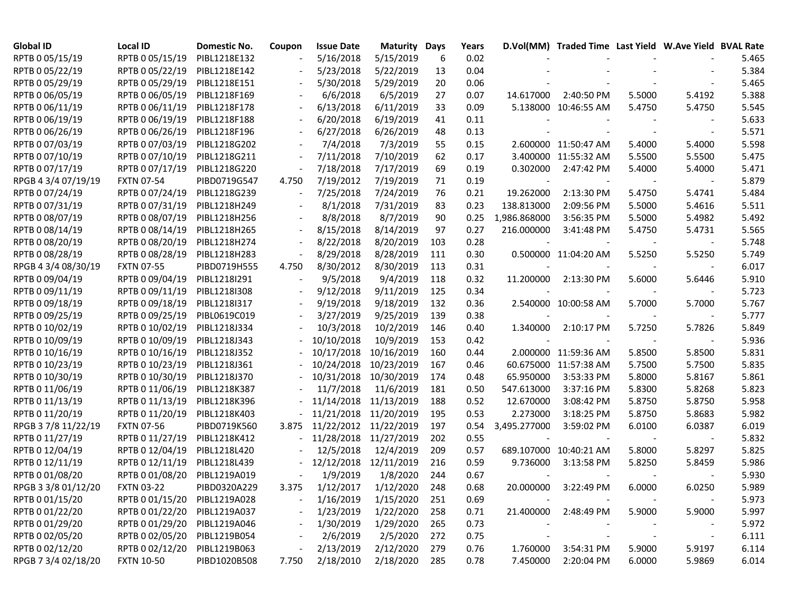| <b>Global ID</b>    | <b>Local ID</b>   | Domestic No. | Coupon                   | <b>Issue Date</b> | <b>Maturity Days</b> |     | Years |                          | D.Vol(MM) Traded Time Last Yield W.Ave Yield BVAL Rate |        |                          |       |
|---------------------|-------------------|--------------|--------------------------|-------------------|----------------------|-----|-------|--------------------------|--------------------------------------------------------|--------|--------------------------|-------|
| RPTB 0 05/15/19     | RPTB 0 05/15/19   | PIBL1218E132 |                          | 5/16/2018         | 5/15/2019            | 6   | 0.02  |                          |                                                        |        |                          | 5.465 |
| RPTB 0 05/22/19     | RPTB 0 05/22/19   | PIBL1218E142 |                          | 5/23/2018         | 5/22/2019            | 13  | 0.04  |                          |                                                        |        |                          | 5.384 |
| RPTB 0 05/29/19     | RPTB 0 05/29/19   | PIBL1218E151 |                          | 5/30/2018         | 5/29/2019            | 20  | 0.06  |                          |                                                        |        |                          | 5.465 |
| RPTB 0 06/05/19     | RPTB 0 06/05/19   | PIBL1218F169 |                          | 6/6/2018          | 6/5/2019             | 27  | 0.07  | 14.617000                | 2:40:50 PM                                             | 5.5000 | 5.4192                   | 5.388 |
| RPTB 0 06/11/19     | RPTB 0 06/11/19   | PIBL1218F178 |                          | 6/13/2018         | 6/11/2019            | 33  | 0.09  |                          | 5.138000 10:46:55 AM                                   | 5.4750 | 5.4750                   | 5.545 |
| RPTB 0 06/19/19     | RPTB 0 06/19/19   | PIBL1218F188 |                          | 6/20/2018         | 6/19/2019            | 41  | 0.11  |                          |                                                        |        |                          | 5.633 |
| RPTB 0 06/26/19     | RPTB 0 06/26/19   | PIBL1218F196 |                          | 6/27/2018         | 6/26/2019            | 48  | 0.13  |                          |                                                        |        |                          | 5.571 |
| RPTB 0 07/03/19     | RPTB 0 07/03/19   | PIBL1218G202 | $\overline{\phantom{a}}$ | 7/4/2018          | 7/3/2019             | 55  | 0.15  |                          | 2.600000 11:50:47 AM                                   | 5.4000 | 5.4000                   | 5.598 |
| RPTB 0 07/10/19     | RPTB 0 07/10/19   | PIBL1218G211 |                          | 7/11/2018         | 7/10/2019            | 62  | 0.17  |                          | 3.400000 11:55:32 AM                                   | 5.5500 | 5.5500                   | 5.475 |
| RPTB 0 07/17/19     | RPTB 0 07/17/19   | PIBL1218G220 |                          | 7/18/2018         | 7/17/2019            | 69  | 0.19  | 0.302000                 | 2:47:42 PM                                             | 5.4000 | 5.4000                   | 5.471 |
| RPGB 4 3/4 07/19/19 | <b>FXTN 07-54</b> | PIBD0719G547 | 4.750                    | 7/19/2012         | 7/19/2019            | 71  | 0.19  | $\overline{\phantom{a}}$ |                                                        |        |                          | 5.879 |
| RPTB 0 07/24/19     | RPTB 0 07/24/19   | PIBL1218G239 |                          | 7/25/2018         | 7/24/2019            | 76  | 0.21  | 19.262000                | 2:13:30 PM                                             | 5.4750 | 5.4741                   | 5.484 |
| RPTB 0 07/31/19     | RPTB 0 07/31/19   | PIBL1218H249 |                          | 8/1/2018          | 7/31/2019            | 83  | 0.23  | 138.813000               | 2:09:56 PM                                             | 5.5000 | 5.4616                   | 5.511 |
| RPTB 0 08/07/19     | RPTB 0 08/07/19   | PIBL1218H256 |                          | 8/8/2018          | 8/7/2019             | 90  | 0.25  | 1,986.868000             | 3:56:35 PM                                             | 5.5000 | 5.4982                   | 5.492 |
| RPTB 0 08/14/19     | RPTB 0 08/14/19   | PIBL1218H265 |                          | 8/15/2018         | 8/14/2019            | 97  | 0.27  | 216.000000               | 3:41:48 PM                                             | 5.4750 | 5.4731                   | 5.565 |
| RPTB 0 08/20/19     | RPTB 0 08/20/19   | PIBL1218H274 |                          | 8/22/2018         | 8/20/2019            | 103 | 0.28  |                          |                                                        |        |                          | 5.748 |
| RPTB 0 08/28/19     | RPTB 0 08/28/19   | PIBL1218H283 |                          | 8/29/2018         | 8/28/2019            | 111 | 0.30  |                          | 0.500000 11:04:20 AM                                   | 5.5250 | 5.5250                   | 5.749 |
| RPGB 4 3/4 08/30/19 | <b>FXTN 07-55</b> | PIBD0719H555 | 4.750                    | 8/30/2012         | 8/30/2019            | 113 | 0.31  |                          |                                                        |        |                          | 6.017 |
| RPTB 0 09/04/19     | RPTB 0 09/04/19   | PIBL1218I291 |                          | 9/5/2018          | 9/4/2019             | 118 | 0.32  | 11.200000                | 2:13:30 PM                                             | 5.6000 | 5.6446                   | 5.910 |
| RPTB 0 09/11/19     | RPTB 0 09/11/19   | PIBL1218I308 |                          | 9/12/2018         | 9/11/2019            | 125 | 0.34  | $\blacksquare$           |                                                        |        |                          | 5.723 |
| RPTB 0 09/18/19     | RPTB 0 09/18/19   | PIBL1218I317 |                          | 9/19/2018         | 9/18/2019            | 132 | 0.36  |                          | 2.540000 10:00:58 AM                                   | 5.7000 | 5.7000                   | 5.767 |
| RPTB 0 09/25/19     | RPTB 0 09/25/19   | PIBL0619C019 |                          | 3/27/2019         | 9/25/2019            | 139 | 0.38  |                          |                                                        |        |                          | 5.777 |
| RPTB 0 10/02/19     | RPTB 0 10/02/19   | PIBL1218J334 |                          | 10/3/2018         | 10/2/2019            | 146 | 0.40  | 1.340000                 | 2:10:17 PM                                             | 5.7250 | 5.7826                   | 5.849 |
| RPTB 0 10/09/19     | RPTB 0 10/09/19   | PIBL1218J343 |                          | 10/10/2018        | 10/9/2019            | 153 | 0.42  |                          |                                                        |        |                          | 5.936 |
| RPTB 0 10/16/19     | RPTB 0 10/16/19   | PIBL1218J352 |                          | 10/17/2018        | 10/16/2019           | 160 | 0.44  |                          | 2.000000 11:59:36 AM                                   | 5.8500 | 5.8500                   | 5.831 |
| RPTB 0 10/23/19     | RPTB 0 10/23/19   | PIBL1218J361 |                          | 10/24/2018        | 10/23/2019           | 167 | 0.46  |                          | 60.675000 11:57:38 AM                                  | 5.7500 | 5.7500                   | 5.835 |
| RPTB 0 10/30/19     | RPTB 0 10/30/19   | PIBL1218J370 |                          | 10/31/2018        | 10/30/2019           | 174 | 0.48  | 65.950000                | 3:53:33 PM                                             | 5.8000 | 5.8167                   | 5.861 |
| RPTB 0 11/06/19     | RPTB 0 11/06/19   | PIBL1218K387 |                          | 11/7/2018         | 11/6/2019            | 181 | 0.50  | 547.613000               | 3:37:16 PM                                             | 5.8300 | 5.8268                   | 5.823 |
| RPTB 0 11/13/19     | RPTB 0 11/13/19   | PIBL1218K396 |                          | 11/14/2018        | 11/13/2019           | 188 | 0.52  | 12.670000                | 3:08:42 PM                                             | 5.8750 | 5.8750                   | 5.958 |
| RPTB 0 11/20/19     | RPTB 0 11/20/19   | PIBL1218K403 |                          | 11/21/2018        | 11/20/2019           | 195 | 0.53  | 2.273000                 | 3:18:25 PM                                             | 5.8750 | 5.8683                   | 5.982 |
| RPGB 3 7/8 11/22/19 | <b>FXTN 07-56</b> | PIBD0719K560 | 3.875                    | 11/22/2012        | 11/22/2019           | 197 | 0.54  | 3,495.277000             | 3:59:02 PM                                             | 6.0100 | 6.0387                   | 6.019 |
| RPTB 0 11/27/19     | RPTB 0 11/27/19   | PIBL1218K412 |                          | 11/28/2018        | 11/27/2019           | 202 | 0.55  |                          |                                                        |        |                          | 5.832 |
| RPTB 0 12/04/19     | RPTB 0 12/04/19   | PIBL1218L420 |                          | 12/5/2018         | 12/4/2019            | 209 | 0.57  |                          | 689.107000 10:40:21 AM                                 | 5.8000 | 5.8297                   | 5.825 |
| RPTB 0 12/11/19     | RPTB 0 12/11/19   | PIBL1218L439 | $\overline{\phantom{a}}$ | 12/12/2018        | 12/11/2019           | 216 | 0.59  | 9.736000                 | 3:13:58 PM                                             | 5.8250 | 5.8459                   | 5.986 |
| RPTB 0 01/08/20     | RPTB 0 01/08/20   | PIBL1219A019 |                          | 1/9/2019          | 1/8/2020             | 244 | 0.67  |                          |                                                        |        |                          | 5.930 |
| RPGB 3 3/8 01/12/20 | <b>FXTN 03-22</b> | PIBD0320A229 |                          | 3.375 1/12/2017   | 1/12/2020            | 248 | 0.68  |                          | 20.000000 3:22:49 PM                                   | 6.0000 | 6.0250                   | 5.989 |
| RPTB 0 01/15/20     | RPTB 0 01/15/20   | PIBL1219A028 |                          | 1/16/2019         | 1/15/2020            | 251 | 0.69  |                          |                                                        |        |                          | 5.973 |
| RPTB 0 01/22/20     | RPTB 0 01/22/20   | PIBL1219A037 |                          | 1/23/2019         | 1/22/2020            | 258 | 0.71  | 21.400000                | 2:48:49 PM                                             | 5.9000 | 5.9000                   | 5.997 |
| RPTB 0 01/29/20     | RPTB 0 01/29/20   | PIBL1219A046 |                          | 1/30/2019         | 1/29/2020            | 265 | 0.73  |                          |                                                        |        |                          | 5.972 |
| RPTB 0 02/05/20     | RPTB 0 02/05/20   | PIBL1219B054 |                          | 2/6/2019          | 2/5/2020             | 272 | 0.75  |                          |                                                        |        | $\overline{\phantom{a}}$ | 6.111 |
| RPTB 0 02/12/20     | RPTB 0 02/12/20   | PIBL1219B063 |                          | 2/13/2019         | 2/12/2020            | 279 | 0.76  | 1.760000                 | 3:54:31 PM                                             | 5.9000 | 5.9197                   | 6.114 |
| RPGB 7 3/4 02/18/20 | <b>FXTN 10-50</b> | PIBD1020B508 | 7.750                    | 2/18/2010         | 2/18/2020            | 285 | 0.78  | 7.450000                 | 2:20:04 PM                                             | 6.0000 | 5.9869                   | 6.014 |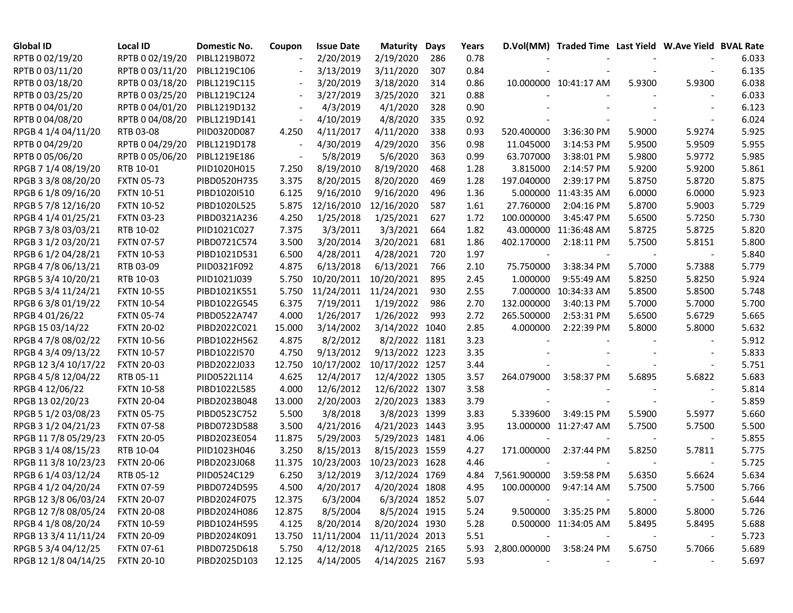| <b>Global ID</b>     | <b>Local ID</b>   | Domestic No. | Coupon                   | <b>Issue Date</b> | <b>Maturity</b> | Days | Years |                          | D.Vol(MM) Traded Time Last Yield W.Ave Yield BVAL Rate |        |                          |       |
|----------------------|-------------------|--------------|--------------------------|-------------------|-----------------|------|-------|--------------------------|--------------------------------------------------------|--------|--------------------------|-------|
| RPTB 0 02/19/20      | RPTB 0 02/19/20   | PIBL1219B072 |                          | 2/20/2019         | 2/19/2020       | 286  | 0.78  |                          |                                                        |        |                          | 6.033 |
| RPTB 0 03/11/20      | RPTB 0 03/11/20   | PIBL1219C106 |                          | 3/13/2019         | 3/11/2020       | 307  | 0.84  |                          |                                                        |        |                          | 6.135 |
| RPTB 0 03/18/20      | RPTB 0 03/18/20   | PIBL1219C115 |                          | 3/20/2019         | 3/18/2020       | 314  | 0.86  |                          | 10.000000 10:41:17 AM                                  | 5.9300 | 5.9300                   | 6.038 |
| RPTB 0 03/25/20      | RPTB 0 03/25/20   | PIBL1219C124 |                          | 3/27/2019         | 3/25/2020       | 321  | 0.88  |                          |                                                        |        |                          | 6.033 |
| RPTB 0 04/01/20      | RPTB 0 04/01/20   | PIBL1219D132 | $\overline{\phantom{a}}$ | 4/3/2019          | 4/1/2020        | 328  | 0.90  |                          |                                                        |        |                          | 6.123 |
| RPTB 0 04/08/20      | RPTB 0 04/08/20   | PIBL1219D141 | $\overline{\phantom{a}}$ | 4/10/2019         | 4/8/2020        | 335  | 0.92  |                          |                                                        |        |                          | 6.024 |
| RPGB 4 1/4 04/11/20  | RTB 03-08         | PIID0320D087 | 4.250                    | 4/11/2017         | 4/11/2020       | 338  | 0.93  | 520.400000               | 3:36:30 PM                                             | 5.9000 | 5.9274                   | 5.925 |
| RPTB 0 04/29/20      | RPTB 0 04/29/20   | PIBL1219D178 |                          | 4/30/2019         | 4/29/2020       | 356  | 0.98  | 11.045000                | 3:14:53 PM                                             | 5.9500 | 5.9509                   | 5.955 |
| RPTB 0 05/06/20      | RPTB 0 05/06/20   | PIBL1219E186 |                          | 5/8/2019          | 5/6/2020        | 363  | 0.99  | 63.707000                | 3:38:01 PM                                             | 5.9800 | 5.9772                   | 5.985 |
| RPGB 7 1/4 08/19/20  | RTB 10-01         | PIID1020H015 | 7.250                    | 8/19/2010         | 8/19/2020       | 468  | 1.28  | 3.815000                 | 2:14:57 PM                                             | 5.9200 | 5.9200                   | 5.861 |
| RPGB 3 3/8 08/20/20  | <b>FXTN 05-73</b> | PIBD0520H735 | 3.375                    | 8/20/2015         | 8/20/2020       | 469  | 1.28  | 197.040000               | 2:39:17 PM                                             | 5.8750 | 5.8720                   | 5.875 |
| RPGB 6 1/8 09/16/20  | <b>FXTN 10-51</b> | PIBD1020I510 | 6.125                    | 9/16/2010         | 9/16/2020       | 496  | 1.36  |                          | 5.000000 11:43:35 AM                                   | 6.0000 | 6.0000                   | 5.923 |
| RPGB 5 7/8 12/16/20  | <b>FXTN 10-52</b> | PIBD1020L525 | 5.875                    | 12/16/2010        | 12/16/2020      | 587  | 1.61  | 27.760000                | 2:04:16 PM                                             | 5.8700 | 5.9003                   | 5.729 |
| RPGB 4 1/4 01/25/21  | <b>FXTN 03-23</b> | PIBD0321A236 | 4.250                    | 1/25/2018         | 1/25/2021       | 627  | 1.72  | 100.000000               | 3:45:47 PM                                             | 5.6500 | 5.7250                   | 5.730 |
| RPGB 7 3/8 03/03/21  | RTB 10-02         | PIID1021C027 | 7.375                    | 3/3/2011          | 3/3/2021        | 664  | 1.82  |                          | 43.000000 11:36:48 AM                                  | 5.8725 | 5.8725                   | 5.820 |
| RPGB 3 1/2 03/20/21  | <b>FXTN 07-57</b> | PIBD0721C574 | 3.500                    | 3/20/2014         | 3/20/2021       | 681  | 1.86  | 402.170000               | 2:18:11 PM                                             | 5.7500 | 5.8151                   | 5.800 |
| RPGB 6 1/2 04/28/21  | <b>FXTN 10-53</b> | PIBD1021D531 | 6.500                    | 4/28/2011         | 4/28/2021       | 720  | 1.97  | $\overline{\phantom{a}}$ |                                                        |        |                          | 5.840 |
| RPGB 4 7/8 06/13/21  | RTB 03-09         | PIID0321F092 | 4.875                    | 6/13/2018         | 6/13/2021       | 766  | 2.10  | 75.750000                | 3:38:34 PM                                             | 5.7000 | 5.7388                   | 5.779 |
| RPGB 5 3/4 10/20/21  | RTB 10-03         | PIID1021J039 | 5.750                    | 10/20/2011        | 10/20/2021      | 895  | 2.45  | 1.000000                 | 9:55:49 AM                                             | 5.8250 | 5.8250                   | 5.924 |
| RPGB 5 3/4 11/24/21  | <b>FXTN 10-55</b> | PIBD1021K551 | 5.750                    | 11/24/2011        | 11/24/2021      | 930  | 2.55  |                          | 7.000000 10:34:33 AM                                   | 5.8500 | 5.8500                   | 5.748 |
| RPGB 63/8 01/19/22   | <b>FXTN 10-54</b> | PIBD1022G545 | 6.375                    | 7/19/2011         | 1/19/2022       | 986  | 2.70  | 132.000000               | 3:40:13 PM                                             | 5.7000 | 5.7000                   | 5.700 |
| RPGB 4 01/26/22      | <b>FXTN 05-74</b> | PIBD0522A747 | 4.000                    | 1/26/2017         | 1/26/2022       | 993  | 2.72  | 265.500000               | 2:53:31 PM                                             | 5.6500 | 5.6729                   | 5.665 |
| RPGB 15 03/14/22     | <b>FXTN 20-02</b> | PIBD2022C021 | 15.000                   | 3/14/2002         | 3/14/2022 1040  |      | 2.85  | 4.000000                 | 2:22:39 PM                                             | 5.8000 | 5.8000                   | 5.632 |
| RPGB 4 7/8 08/02/22  | <b>FXTN 10-56</b> | PIBD1022H562 | 4.875                    | 8/2/2012          | 8/2/2022 1181   |      | 3.23  |                          |                                                        |        |                          | 5.912 |
| RPGB 4 3/4 09/13/22  | <b>FXTN 10-57</b> | PIBD1022I570 | 4.750                    | 9/13/2012         | 9/13/2022 1223  |      | 3.35  |                          |                                                        |        |                          | 5.833 |
| RPGB 12 3/4 10/17/22 | <b>FXTN 20-03</b> | PIBD2022J033 | 12.750                   | 10/17/2002        | 10/17/2022 1257 |      | 3.44  |                          |                                                        |        |                          | 5.751 |
| RPGB 4 5/8 12/04/22  | RTB 05-11         | PIID0522L114 | 4.625                    | 12/4/2017         | 12/4/2022 1305  |      | 3.57  | 264.079000               | 3:58:37 PM                                             | 5.6895 | 5.6822                   | 5.683 |
| RPGB 4 12/06/22      | <b>FXTN 10-58</b> | PIBD1022L585 | 4.000                    | 12/6/2012         | 12/6/2022 1307  |      | 3.58  |                          |                                                        |        |                          | 5.814 |
| RPGB 13 02/20/23     | <b>FXTN 20-04</b> | PIBD2023B048 | 13.000                   | 2/20/2003         | 2/20/2023 1383  |      | 3.79  |                          |                                                        |        |                          | 5.859 |
| RPGB 5 1/2 03/08/23  | <b>FXTN 05-75</b> | PIBD0523C752 | 5.500                    | 3/8/2018          | 3/8/2023 1399   |      | 3.83  | 5.339600                 | 3:49:15 PM                                             | 5.5900 | 5.5977                   | 5.660 |
| RPGB 3 1/2 04/21/23  | <b>FXTN 07-58</b> | PIBD0723D588 | 3.500                    | 4/21/2016         | 4/21/2023 1443  |      | 3.95  |                          | 13.000000 11:27:47 AM                                  | 5.7500 | 5.7500                   | 5.500 |
| RPGB 11 7/8 05/29/23 | <b>FXTN 20-05</b> | PIBD2023E054 | 11.875                   | 5/29/2003         | 5/29/2023 1481  |      | 4.06  |                          |                                                        |        |                          | 5.855 |
| RPGB 3 1/4 08/15/23  | RTB 10-04         | PIID1023H046 | 3.250                    | 8/15/2013         | 8/15/2023 1559  |      | 4.27  | 171.000000               | 2:37:44 PM                                             | 5.8250 | 5.7811                   | 5.775 |
| RPGB 11 3/8 10/23/23 | <b>FXTN 20-06</b> | PIBD2023J068 | 11.375                   | 10/23/2003        | 10/23/2023 1628 |      | 4.46  |                          |                                                        |        |                          | 5.725 |
| RPGB 6 1/4 03/12/24  | RTB 05-12         | PIID0524C129 | 6.250                    | 3/12/2019         | 3/12/2024 1769  |      | 4.84  | 7,561.900000             | 3:59:58 PM                                             | 5.6350 | 5.6624                   | 5.634 |
| RPGB 4 1/2 04/20/24  | <b>FXTN 07-59</b> | PIBD0724D595 | 4.500                    | 4/20/2017         | 4/20/2024 1808  |      | 4.95  | 100.000000               | 9:47:14 AM                                             | 5.7500 | 5.7500                   | 5.766 |
| RPGB 12 3/8 06/03/24 | <b>FXTN 20-07</b> | PIBD2024F075 | 12.375                   | 6/3/2004          | 6/3/2024 1852   |      | 5.07  |                          |                                                        |        |                          | 5.644 |
| RPGB 12 7/8 08/05/24 | <b>FXTN 20-08</b> | PIBD2024H086 | 12.875                   | 8/5/2004          | 8/5/2024 1915   |      | 5.24  | 9.500000                 | 3:35:25 PM                                             | 5.8000 | 5.8000                   | 5.726 |
| RPGB 4 1/8 08/20/24  | <b>FXTN 10-59</b> | PIBD1024H595 | 4.125                    | 8/20/2014         | 8/20/2024 1930  |      | 5.28  |                          | 0.500000 11:34:05 AM                                   | 5.8495 | 5.8495                   | 5.688 |
| RPGB 13 3/4 11/11/24 | <b>FXTN 20-09</b> | PIBD2024K091 | 13.750                   | 11/11/2004        | 11/11/2024 2013 |      | 5.51  |                          |                                                        |        | $\overline{\phantom{a}}$ | 5.723 |
| RPGB 5 3/4 04/12/25  | <b>FXTN 07-61</b> | PIBD0725D618 | 5.750                    | 4/12/2018         | 4/12/2025 2165  |      | 5.93  | 2,800.000000             | 3:58:24 PM                                             | 5.6750 | 5.7066                   | 5.689 |
| RPGB 12 1/8 04/14/25 | <b>FXTN 20-10</b> | PIBD2025D103 | 12.125                   | 4/14/2005         | 4/14/2025 2167  |      | 5.93  |                          |                                                        |        |                          | 5.697 |